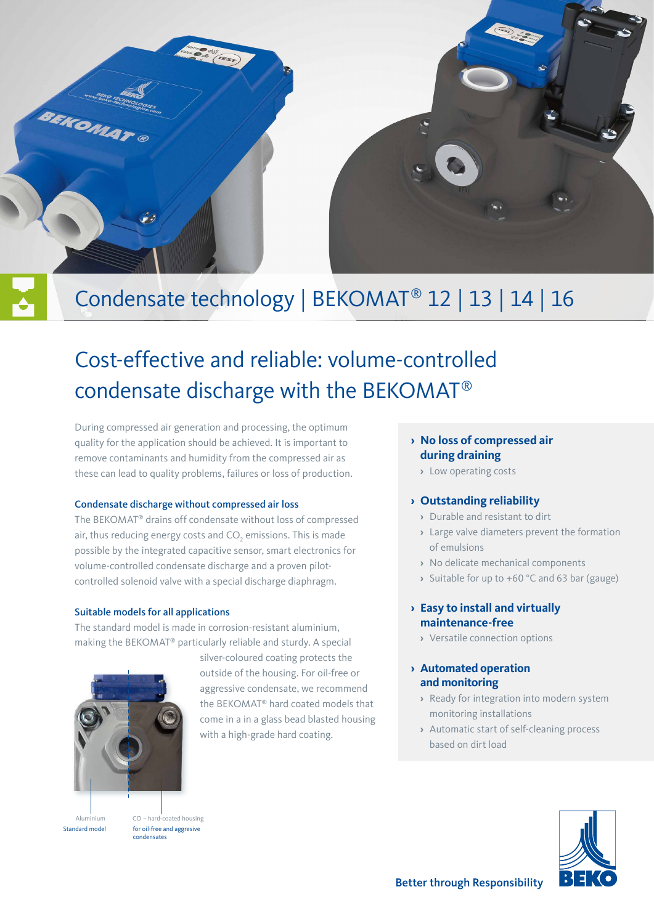

# Condensate technology | BEKOMAT® 12 | 13 | 14 | 16

# Cost-effective and reliable: volume-controlled condensate discharge with the BEKOMAT®

During compressed air generation and processing, the optimum quality for the application should be achieved. It is important to remove contaminants and humidity from the compressed air as these can lead to quality problems, failures or loss of production.

### Condensate discharge without compressed air loss

The BEKOMAT® drains off condensate without loss of compressed air, thus reducing energy costs and CO $_{_2}$  emissions. This is made possible by the integrated capacitive sensor, smart electronics for volume-controlled condensate discharge and a proven pilotcontrolled solenoid valve with a special discharge diaphragm.

### Suitable models for all applications

The standard model is made in corrosion-resistant aluminium, making the BEKOMAT® particularly reliable and sturdy. A special



for oil-free and aggresive condensates

Standard model

silver-coloured coating protects the outside of the housing. For oil-free or aggressive condensate, we recommend the BEKOMAT® hard coated models that come in a in a glass bead blasted housing with a high-grade hard coating.

### **› No loss of compressed air during draining**

**›** Low operating costs

- **›** Durable and resistant to dirt
- **›** Large valve diameters prevent the formation of emulsions
- **›** No delicate mechanical components
- **›** Suitable for up to +60 °C and 63 bar (gauge)

### **› Easy to install and virtually maintenance-free**

**›** Versatile connection options

### **› Automated operation and monitoring**

- **›** Ready for integration into modern system monitoring installations
- **›** Automatic start of self-cleaning process based on dirt load



### **› Outstanding reliability**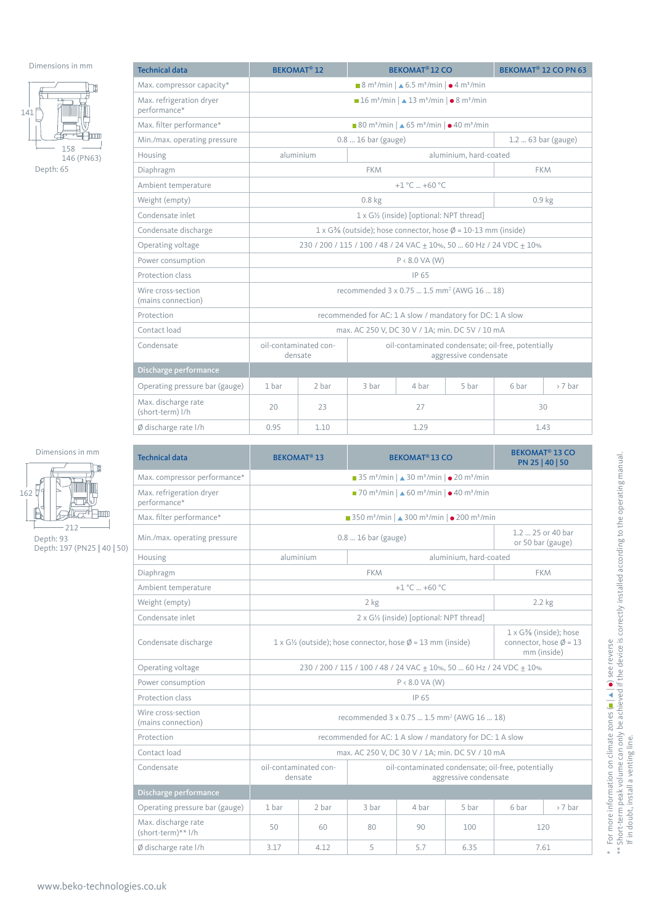

| <b>Technical data</b>                    |                                                                                                                                  | <b>BEKOMAT<sup>®</sup> 12 CO</b><br><b>BEKOMAT<sup>®</sup> 12</b>                                                                |                                                           |               | BEKOMAT <sup>®</sup> 12 CO PN 63 |                     |        |  |
|------------------------------------------|----------------------------------------------------------------------------------------------------------------------------------|----------------------------------------------------------------------------------------------------------------------------------|-----------------------------------------------------------|---------------|----------------------------------|---------------------|--------|--|
| Max. compressor capacity*                | $\blacksquare$ 8 m <sup>3</sup> /min $\vert \blacktriangle$ 6.5 m <sup>3</sup> /min $\vert \blacktriangle$ 4 m <sup>3</sup> /min |                                                                                                                                  |                                                           |               |                                  |                     |        |  |
| Max. refrigeration dryer<br>performance* |                                                                                                                                  | $\blacksquare$ 16 m <sup>3</sup> /min $\vert \blacktriangle$ 13 m <sup>3</sup> /min $\vert \blacktriangle$ 8 m <sup>3</sup> /min |                                                           |               |                                  |                     |        |  |
| Max. filter performance*                 |                                                                                                                                  | ■ 80 m <sup>3</sup> /min   $\triangle$ 65 m <sup>3</sup> /min   $\bullet$ 40 m <sup>3</sup> /min                                 |                                                           |               |                                  |                     |        |  |
| Min./max. operating pressure             |                                                                                                                                  |                                                                                                                                  | $0.816$ bar (gauge)                                       |               |                                  | $1.263$ bar (gauge) |        |  |
| Housing                                  | aluminium                                                                                                                        |                                                                                                                                  |                                                           |               | aluminium, hard-coated           |                     |        |  |
| Diaphragm                                |                                                                                                                                  |                                                                                                                                  | <b>FKM</b>                                                |               |                                  | <b>FKM</b>          |        |  |
| Ambient temperature                      |                                                                                                                                  |                                                                                                                                  |                                                           | +1 °C  +60 °C |                                  |                     |        |  |
| Weight (empty)                           |                                                                                                                                  |                                                                                                                                  | 0.8 <sub>kg</sub>                                         |               |                                  | 0.9 <sub>kg</sub>   |        |  |
| Condensate inlet                         |                                                                                                                                  | 1 x G1/ <sub>2</sub> (inside) [optional: NPT thread]                                                                             |                                                           |               |                                  |                     |        |  |
| Condensate discharge                     | $1 \times G3$ (outside); hose connector, hose $\emptyset$ = 10-13 mm (inside)                                                    |                                                                                                                                  |                                                           |               |                                  |                     |        |  |
| Operating voltage                        | 230 / 200 / 115 / 100 / 48 / 24 VAC + 10%, 50  60 Hz / 24 VDC + 10%                                                              |                                                                                                                                  |                                                           |               |                                  |                     |        |  |
| Power consumption                        | $P < 8.0$ VA (W)                                                                                                                 |                                                                                                                                  |                                                           |               |                                  |                     |        |  |
| Protection class                         | IP 65                                                                                                                            |                                                                                                                                  |                                                           |               |                                  |                     |        |  |
| Wire cross-section<br>(mains connection) |                                                                                                                                  | recommended 3 x 0.75  1.5 mm <sup>2</sup> (AWG 16  18)                                                                           |                                                           |               |                                  |                     |        |  |
| Protection                               |                                                                                                                                  |                                                                                                                                  | recommended for AC: 1 A slow / mandatory for DC: 1 A slow |               |                                  |                     |        |  |
| Contact load                             |                                                                                                                                  |                                                                                                                                  | max. AC 250 V, DC 30 V / 1A; min. DC 5V / 10 mA           |               |                                  |                     |        |  |
| Condensate                               | oil-contaminated con-<br>oil-contaminated condensate; oil-free, potentially<br>aggressive condensate<br>densate                  |                                                                                                                                  |                                                           |               |                                  |                     |        |  |
| Discharge performance                    |                                                                                                                                  |                                                                                                                                  |                                                           |               |                                  |                     |        |  |
| Operating pressure bar (gauge)           | 1 bar                                                                                                                            | 2 bar                                                                                                                            | 3 bar                                                     | 4 bar         | 5 bar                            | 6 bar               | >7 bar |  |
| Max. discharge rate<br>(short-term) l/h  | 20<br>27<br>23                                                                                                                   |                                                                                                                                  |                                                           | 30            |                                  |                     |        |  |
| $\emptyset$ discharge rate I/h           | 0.95                                                                                                                             | 1.10                                                                                                                             |                                                           | 1.29          |                                  | 1.43                |        |  |





| <b>Technical data</b>                     | <b>BEKOMAT<sup>®</sup> 13</b>                                                                                   |                                                                                                       |                                                                                  | <b>BEKOMAT<sup>®</sup>13 CO</b>                           |                        |                                        | <b>BEKOMAT<sup>®</sup> 13 CO</b><br>PN 25   40   50 |  |
|-------------------------------------------|-----------------------------------------------------------------------------------------------------------------|-------------------------------------------------------------------------------------------------------|----------------------------------------------------------------------------------|-----------------------------------------------------------|------------------------|----------------------------------------|-----------------------------------------------------|--|
| Max. compressor performance*              | ■ 35 m <sup>3</sup> /min   $\triangle$ 30 m <sup>3</sup> /min   $\bullet$ 20 m <sup>3</sup> /min                |                                                                                                       |                                                                                  |                                                           |                        |                                        |                                                     |  |
| Max. refrigeration dryer<br>performance*  |                                                                                                                 | ■ 70 m <sup>3</sup> /min   ▲ 60 m <sup>3</sup> /min   ● 40 m <sup>3</sup> /min                        |                                                                                  |                                                           |                        |                                        |                                                     |  |
| Max. filter performance*                  |                                                                                                                 | ■ 350 m <sup>3</sup> /min   ▲ 300 m <sup>3</sup> /min   ● 200 m <sup>3</sup> /min                     |                                                                                  |                                                           |                        |                                        |                                                     |  |
| Min./max. operating pressure              | 0.8  16 bar (gauge)                                                                                             |                                                                                                       |                                                                                  |                                                           |                        | 1.2  25 or 40 bar<br>or 50 bar (gauge) |                                                     |  |
| Housing                                   | aluminium                                                                                                       |                                                                                                       |                                                                                  |                                                           | aluminium, hard-coated |                                        |                                                     |  |
| Diaphragm                                 |                                                                                                                 |                                                                                                       | <b>FKM</b>                                                                       |                                                           |                        |                                        | <b>FKM</b>                                          |  |
| Ambient temperature                       |                                                                                                                 |                                                                                                       |                                                                                  | $+1$ °C $-$ +60 °C                                        |                        |                                        |                                                     |  |
| Weight (empty)                            |                                                                                                                 |                                                                                                       | $2$ kg                                                                           |                                                           |                        |                                        | $2.2$ kg                                            |  |
| Condensate inlet                          |                                                                                                                 | 2 x G1/2 (inside) [optional: NPT thread]                                                              |                                                                                  |                                                           |                        |                                        |                                                     |  |
| Condensate discharge                      |                                                                                                                 | $1 \times G$ <sup>1</sup> / <sub>2</sub> (outside); hose connector, hose $\emptyset$ = 13 mm (inside) | $1 \times G\%$ (inside); hose<br>connector, hose $\emptyset$ = 13<br>mm (inside) |                                                           |                        |                                        |                                                     |  |
| Operating voltage                         | 230 / 200 / 115 / 100 / 48 / 24 VAC + 10%, 50  60 Hz / 24 VDC + 10%                                             |                                                                                                       |                                                                                  |                                                           |                        |                                        |                                                     |  |
| Power consumption                         |                                                                                                                 | $P < 8.0$ VA (W)                                                                                      |                                                                                  |                                                           |                        |                                        |                                                     |  |
| Protection class                          |                                                                                                                 | IP 65                                                                                                 |                                                                                  |                                                           |                        |                                        |                                                     |  |
| Wire cross-section<br>(mains connection)  |                                                                                                                 | recommended 3 x 0.75  1.5 mm <sup>2</sup> (AWG 16  18)                                                |                                                                                  |                                                           |                        |                                        |                                                     |  |
| Protection                                |                                                                                                                 |                                                                                                       |                                                                                  | recommended for AC: 1 A slow / mandatory for DC: 1 A slow |                        |                                        |                                                     |  |
| Contact load                              |                                                                                                                 |                                                                                                       |                                                                                  | max. AC 250 V, DC 30 V / 1A; min. DC 5V / 10 mA           |                        |                                        |                                                     |  |
| Condensate                                | oil-contaminated con-<br>oil-contaminated condensate; oil-free, potentially<br>aggressive condensate<br>densate |                                                                                                       |                                                                                  |                                                           |                        |                                        |                                                     |  |
| Discharge performance                     |                                                                                                                 |                                                                                                       |                                                                                  |                                                           |                        |                                        |                                                     |  |
| Operating pressure bar (gauge)            | 1 bar                                                                                                           | 2 bar                                                                                                 | 3 bar                                                                            | 4 har                                                     | 5 bar                  | 6 bar                                  | $> 7$ bar                                           |  |
| Max. discharge rate<br>(short-term)** l/h | 50<br>60<br>100<br>120<br>80<br>90                                                                              |                                                                                                       |                                                                                  |                                                           |                        |                                        |                                                     |  |
| Ø discharge rate I/h                      | 5<br>3.17<br>4.12<br>5.7<br>6.35<br>7.61                                                                        |                                                                                                       |                                                                                  |                                                           |                        |                                        |                                                     |  |

\* For more information on climate zones (■ | ▲ | ●) see reverse<br>\*\* Short-term peak volume can only be achieved if the device is correctly installed according to the operating manual.<br>If in doubt, install a venting line. \*\* Short-term peak volume can only be achieved if the device is correctly installed according to the operating manual.  $*$  For more information on climate zones  $( = | \triangle | \bullet)$  see reverse If in doubt, install a venting line.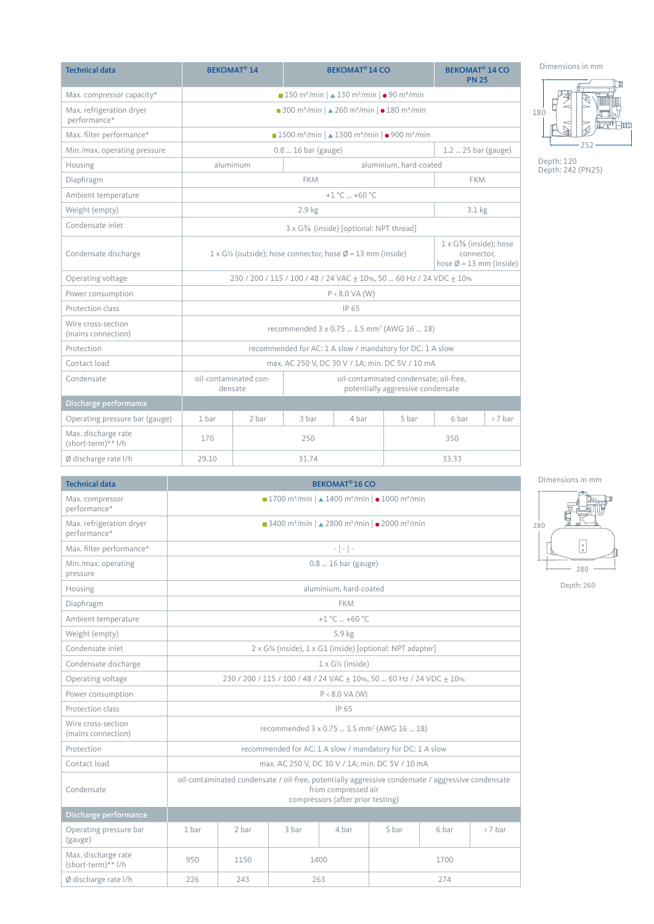| <b>Technical data</b>                     | <b>BEKOMAT<sup>®</sup> 14</b><br><b>BEKOMAT<sup>®</sup> 14 CO</b>                                               |                                                                                                     |                                                           |                  |                        | <b>BEKOMAT<sup>®</sup> 14 CO</b><br><b>PN 25</b>                                 |           |
|-------------------------------------------|-----------------------------------------------------------------------------------------------------------------|-----------------------------------------------------------------------------------------------------|-----------------------------------------------------------|------------------|------------------------|----------------------------------------------------------------------------------|-----------|
| Max. compressor capacity*                 | ■ 150 m <sup>3</sup> /min   ▲ 130 m <sup>3</sup> /min   ● 90 m <sup>3</sup> /min                                |                                                                                                     |                                                           |                  |                        |                                                                                  |           |
| Max. refrigeration dryer<br>performance*  |                                                                                                                 | ■ 300 m <sup>3</sup> /min   $\triangle$ 260 m <sup>3</sup> /min   $\bullet$ 180 m <sup>3</sup> /min |                                                           |                  |                        |                                                                                  |           |
| Max. filter performance*                  | ■ 1500 m <sup>3</sup> /min   ▲ 1300 m <sup>3</sup> /min   ● 900 m <sup>3</sup> /min                             |                                                                                                     |                                                           |                  |                        |                                                                                  |           |
| Min./max. operating pressure              |                                                                                                                 |                                                                                                     | $0.816$ bar (gauge)                                       |                  |                        | $1.2$ 25 bar (gauge)                                                             |           |
| Housing                                   |                                                                                                                 | aluminium                                                                                           |                                                           |                  | aluminium, hard-coated |                                                                                  |           |
| Diaphragm                                 |                                                                                                                 |                                                                                                     | <b>FKM</b>                                                |                  |                        | <b>FKM</b>                                                                       |           |
| Ambient temperature                       |                                                                                                                 |                                                                                                     |                                                           | $+1$ °C $+60$ °C |                        |                                                                                  |           |
| Weight (empty)                            |                                                                                                                 |                                                                                                     | 2.9 kg                                                    |                  |                        | 3.1 kg                                                                           |           |
| Condensate inlet                          | 3 x G <sup>3</sup> / <sub>4</sub> (inside) [optional: NPT thread]                                               |                                                                                                     |                                                           |                  |                        |                                                                                  |           |
| Condensate discharge                      | $1 \times G$ <sup>1</sup> / <sub>2</sub> (outside); hose connector, hose $\emptyset$ = 13 mm (inside)           |                                                                                                     |                                                           |                  |                        | $1 \times G\%$ (inside); hose<br>connector.<br>hose $\emptyset$ = 13 mm (inside) |           |
| Operating voltage                         | 230 / 200 / 115 / 100 / 48 / 24 VAC ± 10%, 50  60 Hz / 24 VDC ± 10%                                             |                                                                                                     |                                                           |                  |                        |                                                                                  |           |
| Power consumption                         | $P < 8.0$ VA (W)                                                                                                |                                                                                                     |                                                           |                  |                        |                                                                                  |           |
| Protection class                          | IP 65                                                                                                           |                                                                                                     |                                                           |                  |                        |                                                                                  |           |
| Wire cross-section<br>(mains connection)  | recommended 3 x 0.75  1.5 mm <sup>2</sup> (AWG 16  18)                                                          |                                                                                                     |                                                           |                  |                        |                                                                                  |           |
| Protection                                |                                                                                                                 |                                                                                                     | recommended for AC: 1 A slow / mandatory for DC: 1 A slow |                  |                        |                                                                                  |           |
| Contact load                              |                                                                                                                 |                                                                                                     | max. AC 250 V, DC 30 V / 1A; min. DC 5V / 10 mA           |                  |                        |                                                                                  |           |
| Condensate                                | oil-contaminated con-<br>oil-contaminated condensate; oil-free,<br>densate<br>potentially aggressive condensate |                                                                                                     |                                                           |                  |                        |                                                                                  |           |
| Discharge performance                     |                                                                                                                 |                                                                                                     |                                                           |                  |                        |                                                                                  |           |
| Operating pressure bar (gauge)            | 1 bar                                                                                                           | 2 bar                                                                                               | 3 bar                                                     | 4 bar            | 5 bar                  | 6 bar                                                                            | $> 7$ bar |
| Max. discharge rate<br>(short-term)** l/h | 170<br>250<br>350                                                                                               |                                                                                                     |                                                           |                  |                        |                                                                                  |           |
| Ø discharge rate I/h                      | 29.10                                                                                                           | 31.74<br>33.33                                                                                      |                                                           |                  |                        |                                                                                  |           |

Dimensions in mm Œ 吗 ÎM 180 ≉'⊟nn 252

Depth: 120 Depth: 242 (PN25)

| <b>Technical data</b>                     | <b>BEKOMAT<sup>®</sup> 16 CO</b>                                                                                                                              |                                                                                                                       |       |                        |       |       |           |  |  |
|-------------------------------------------|---------------------------------------------------------------------------------------------------------------------------------------------------------------|-----------------------------------------------------------------------------------------------------------------------|-------|------------------------|-------|-------|-----------|--|--|
| Max. compressor<br>performance*           | ■ 1700 m <sup>3</sup> /min   ▲ 1400 m <sup>3</sup> /min   ● 1000 m <sup>3</sup> /min                                                                          |                                                                                                                       |       |                        |       |       |           |  |  |
| Max. refrigeration dryer<br>performance*  |                                                                                                                                                               | ■ 3400 m <sup>3</sup> /min   $\triangle$ 2800 m <sup>3</sup> /min   $\bullet$ 2000 m <sup>3</sup> /min                |       |                        |       |       |           |  |  |
| Max. filter performance*                  |                                                                                                                                                               | $\frac{1}{2} \left  \begin{array}{c} 1 \\ -1 \end{array} \right  \left  \begin{array}{c} 1 \\ -1 \end{array} \right $ |       |                        |       |       |           |  |  |
| Min./max. operating<br>pressure           |                                                                                                                                                               | $0.816$ bar (gauge)                                                                                                   |       |                        |       |       |           |  |  |
| Housing                                   |                                                                                                                                                               |                                                                                                                       |       | aluminium, hard-coated |       |       |           |  |  |
| Diaphragm                                 |                                                                                                                                                               |                                                                                                                       |       | <b>FKM</b>             |       |       |           |  |  |
| Ambient temperature                       |                                                                                                                                                               |                                                                                                                       |       | $+1$ °C $+60$ °C       |       |       |           |  |  |
| Weight (empty)                            |                                                                                                                                                               |                                                                                                                       |       | 5.9 kg                 |       |       |           |  |  |
| Condensate inlet                          |                                                                                                                                                               | 2 x G3/4 (inside), 1 x G1 (inside) [optional: NPT adapter]                                                            |       |                        |       |       |           |  |  |
| Condensate discharge                      |                                                                                                                                                               | $1 \times G$ <sup>1</sup> / <sub>2</sub> (inside)                                                                     |       |                        |       |       |           |  |  |
| Operating voltage                         | 230 / 200 / 115 / 100 / 48 / 24 VAC + 10%, 50  60 Hz / 24 VDC + 10%                                                                                           |                                                                                                                       |       |                        |       |       |           |  |  |
| Power consumption                         | $P < 8.0$ VA (W)                                                                                                                                              |                                                                                                                       |       |                        |       |       |           |  |  |
| Protection class                          | IP 65                                                                                                                                                         |                                                                                                                       |       |                        |       |       |           |  |  |
| Wire cross-section<br>(mains connection)  |                                                                                                                                                               | recommended 3 x 0.75  1.5 mm <sup>2</sup> (AWG 16  18)                                                                |       |                        |       |       |           |  |  |
| Protection                                |                                                                                                                                                               | recommended for AC: 1 A slow / mandatory for DC: 1 A slow                                                             |       |                        |       |       |           |  |  |
| Contact load                              |                                                                                                                                                               | max. AC 250 V, DC 30 V / 1A; min. DC 5V / 10 mA                                                                       |       |                        |       |       |           |  |  |
| Condensate                                | oil-contaminated condensate / oil-free, potentially aggressive condensate / aggressive condensate<br>from compressed air<br>compressors (after prior testing) |                                                                                                                       |       |                        |       |       |           |  |  |
| Discharge performance                     |                                                                                                                                                               |                                                                                                                       |       |                        |       |       |           |  |  |
| Operating pressure bar<br>(gauge)         | 1 bar                                                                                                                                                         | 2 bar                                                                                                                 | 3 bar | 4 bar                  | 5 bar | 6 bar | $> 7$ bar |  |  |
| Max. discharge rate<br>(short-term)** l/h | 950<br>1150<br>1400<br>1700                                                                                                                                   |                                                                                                                       |       |                        |       |       |           |  |  |
| Ø discharge rate I/h                      | 226<br>243<br>274<br>263                                                                                                                                      |                                                                                                                       |       |                        |       |       |           |  |  |